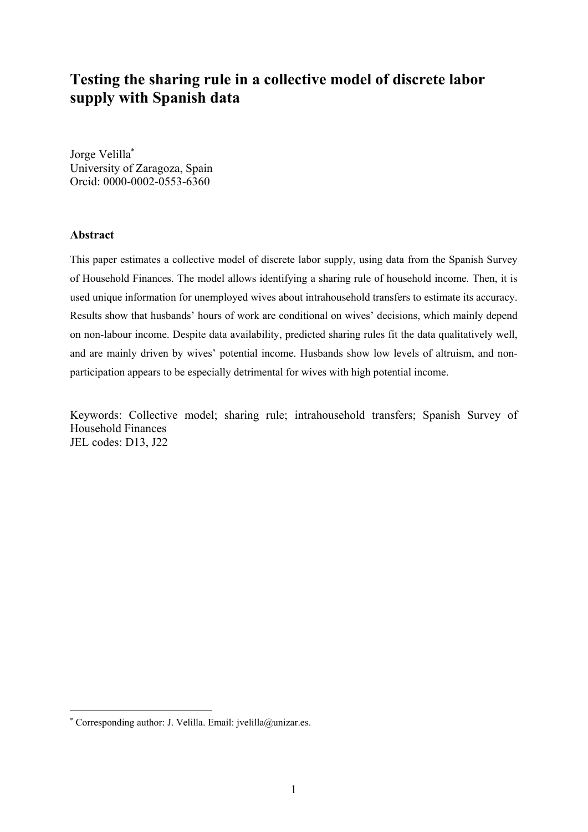# **Testing the sharing rule in a collective model of discrete labor supply with Spanish data**

Jorge Velilla\* University of Zaragoza, Spain Orcid: 0000-0002-0553-6360

#### **Abstract**

This paper estimates a collective model of discrete labor supply, using data from the Spanish Survey of Household Finances. The model allows identifying a sharing rule of household income. Then, it is used unique information for unemployed wives about intrahousehold transfers to estimate its accuracy. Results show that husbands' hours of work are conditional on wives' decisions, which mainly depend on non-labour income. Despite data availability, predicted sharing rules fit the data qualitatively well, and are mainly driven by wives' potential income. Husbands show low levels of altruism, and nonparticipation appears to be especially detrimental for wives with high potential income.

Keywords: Collective model; sharing rule; intrahousehold transfers; Spanish Survey of Household Finances JEL codes: D13, J22

<sup>\*</sup> Corresponding author: J. Velilla. Email: jvelilla@unizar.es.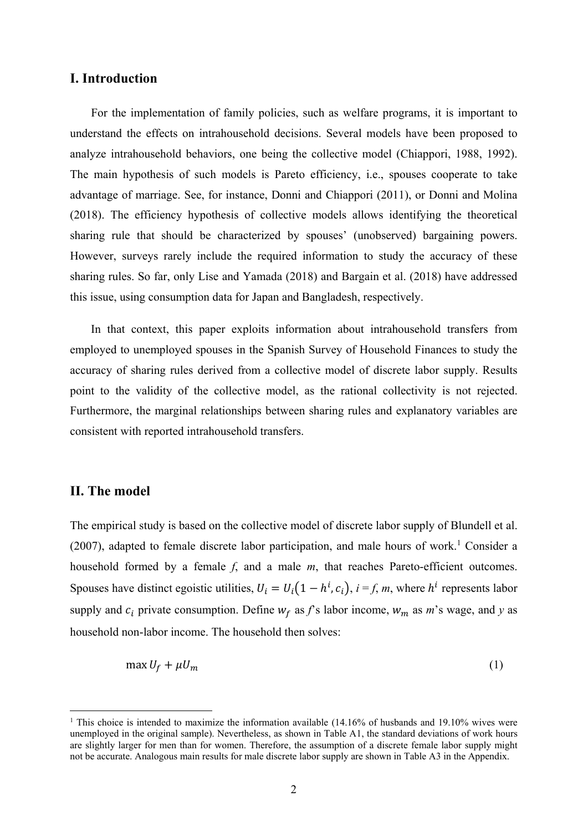### **I. Introduction**

For the implementation of family policies, such as welfare programs, it is important to understand the effects on intrahousehold decisions. Several models have been proposed to analyze intrahousehold behaviors, one being the collective model (Chiappori, 1988, 1992). The main hypothesis of such models is Pareto efficiency, i.e., spouses cooperate to take advantage of marriage. See, for instance, Donni and Chiappori (2011), or Donni and Molina (2018). The efficiency hypothesis of collective models allows identifying the theoretical sharing rule that should be characterized by spouses' (unobserved) bargaining powers. However, surveys rarely include the required information to study the accuracy of these sharing rules. So far, only Lise and Yamada (2018) and Bargain et al. (2018) have addressed this issue, using consumption data for Japan and Bangladesh, respectively.

In that context, this paper exploits information about intrahousehold transfers from employed to unemployed spouses in the Spanish Survey of Household Finances to study the accuracy of sharing rules derived from a collective model of discrete labor supply. Results point to the validity of the collective model, as the rational collectivity is not rejected. Furthermore, the marginal relationships between sharing rules and explanatory variables are consistent with reported intrahousehold transfers.

#### **II. The model**

The empirical study is based on the collective model of discrete labor supply of Blundell et al.  $(2007)$ , adapted to female discrete labor participation, and male hours of work.<sup>1</sup> Consider a household formed by a female *f*, and a male *m*, that reaches Pareto-efficient outcomes. Spouses have distinct egoistic utilities,  $U_i = U_i(1 - h^i, c_i)$ ,  $i = f, m$ , where  $h^i$  represents labor supply and  $c_i$  private consumption. Define  $w_f$  as  $f$ 's labor income,  $w_m$  as  $m$ 's wage, and  $y$  as household non-labor income. The household then solves:

$$
\max U_f + \mu U_m \tag{1}
$$

<sup>&</sup>lt;sup>1</sup> This choice is intended to maximize the information available (14.16% of husbands and 19.10% wives were unemployed in the original sample). Nevertheless, as shown in Table A1, the standard deviations of work hours are slightly larger for men than for women. Therefore, the assumption of a discrete female labor supply might not be accurate. Analogous main results for male discrete labor supply are shown in Table A3 in the Appendix.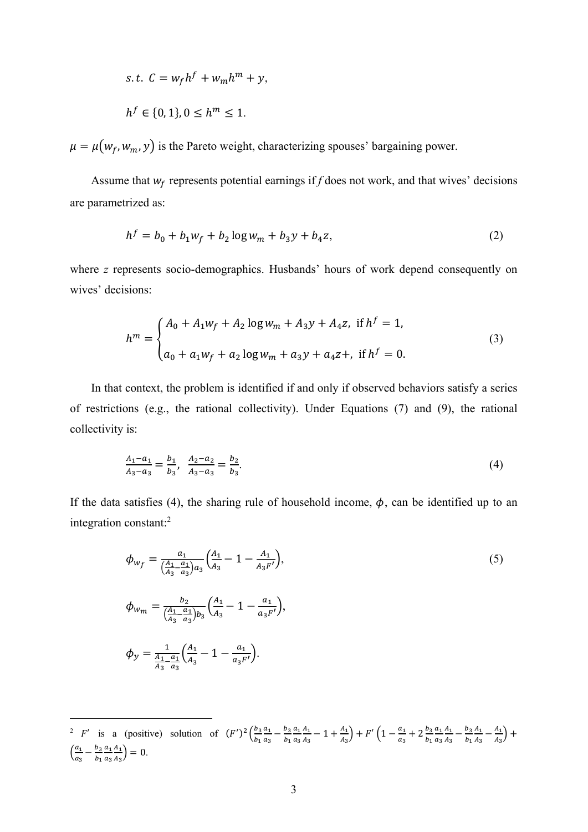$$
s.t. C = wf hf + wm hm + y,
$$
  

$$
hf \in \{0, 1\}, 0 \le hm \le 1.
$$

 $\mu = \mu(w_f, w_m, y)$  is the Pareto weight, characterizing spouses' bargaining power.

Assume that  $w_f$  represents potential earnings if  $f$  does not work, and that wives' decisions are parametrized as:

$$
h^f = b_0 + b_1 w_f + b_2 \log w_m + b_3 y + b_4 z,\tag{2}
$$

where *z* represents socio-demographics. Husbands' hours of work depend consequently on wives' decisions:

$$
h^{m} = \begin{cases} A_{0} + A_{1}w_{f} + A_{2}\log w_{m} + A_{3}y + A_{4}z, & \text{if } h^{f} = 1, \\ a_{0} + a_{1}w_{f} + a_{2}\log w_{m} + a_{3}y + a_{4}z +, & \text{if } h^{f} = 0. \end{cases}
$$
(3)

In that context, the problem is identified if and only if observed behaviors satisfy a series of restrictions (e.g., the rational collectivity). Under Equations (7) and (9), the rational collectivity is:

$$
\frac{A_1 - a_1}{A_3 - a_3} = \frac{b_1}{b_3}, \quad \frac{A_2 - a_2}{A_3 - a_3} = \frac{b_2}{b_3}.\tag{4}
$$

If the data satisfies (4), the sharing rule of household income,  $\phi$ , can be identified up to an integration constant:2

$$
\phi_{W_f} = \frac{a_1}{\left(\frac{A_1}{A_3} - \frac{a_1}{a_3}\right)a_3} \left(\frac{A_1}{A_3} - 1 - \frac{A_1}{A_3 F'}\right),
$$
\n
$$
\phi_{W_m} = \frac{b_2}{\left(\frac{A_1}{A_3} - \frac{a_1}{a_3}\right)b_3} \left(\frac{A_1}{A_3} - 1 - \frac{a_1}{a_3 F'}\right),
$$
\n
$$
\phi_y = \frac{1}{\frac{A_1}{A_3} - \frac{a_1}{a_3}} \left(\frac{A_1}{A_3} - 1 - \frac{a_1}{a_3 F'}\right).
$$
\n(5)

<sup>2</sup> F' is a (positive) solution of  $(F')^2 \left(\frac{b_3}{b_1}\right)^2$  $b_1$  $a_1$  $\frac{a_1}{a_3} - \frac{b_3}{b_1}$  $a<sub>1</sub>$  $a_3$  $A_1$  $\frac{A_1}{A_3} - 1 + \frac{A_1}{A_3} + F'\left(1 - \frac{a_1}{a_3} + 2\frac{b_3}{b_1}\right)$  $a_1$  $a_3$  $A_1$  $rac{A_1}{A_3} - \frac{b_3}{b_1}$  $A_1$  $\frac{A_1}{A_3} - \frac{A_1}{A_3} +$  $\left(\frac{a_1}{a_2}\right)$  $\frac{a_1}{a_3} - \frac{b_3}{b_1}$  $a<sub>1</sub>$  $a_3$  $A_1$  $\frac{A_1}{A_3}$  = 0.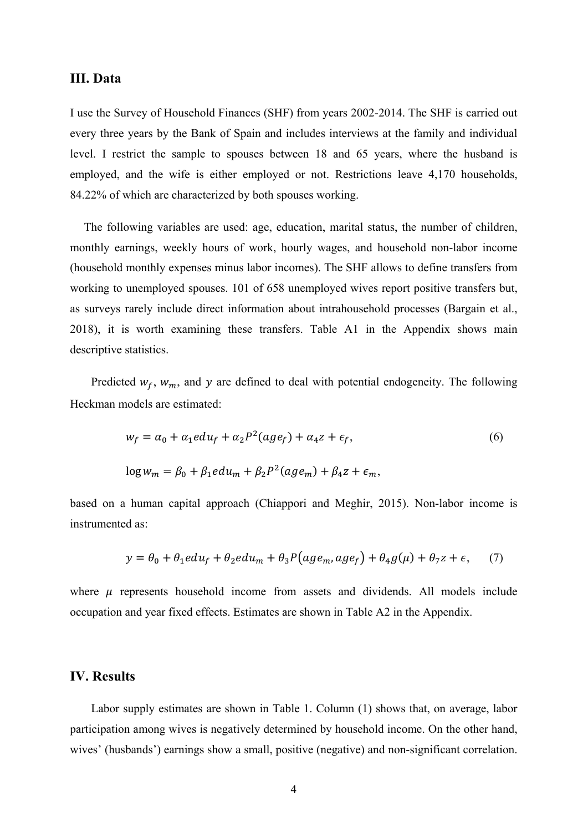#### **III. Data**

I use the Survey of Household Finances (SHF) from years 2002-2014. The SHF is carried out every three years by the Bank of Spain and includes interviews at the family and individual level. I restrict the sample to spouses between 18 and 65 years, where the husband is employed, and the wife is either employed or not. Restrictions leave 4,170 households, 84.22% of which are characterized by both spouses working.

The following variables are used: age, education, marital status, the number of children, monthly earnings, weekly hours of work, hourly wages, and household non-labor income (household monthly expenses minus labor incomes). The SHF allows to define transfers from working to unemployed spouses. 101 of 658 unemployed wives report positive transfers but, as surveys rarely include direct information about intrahousehold processes (Bargain et al., 2018), it is worth examining these transfers. Table A1 in the Appendix shows main descriptive statistics.

Predicted  $w_f$ ,  $w_m$ , and y are defined to deal with potential endogeneity. The following Heckman models are estimated:

$$
w_f = \alpha_0 + \alpha_1 e du_f + \alpha_2 P^2 (age_f) + \alpha_4 z + \epsilon_f,
$$
  
\n
$$
\log w_m = \beta_0 + \beta_1 e du_m + \beta_2 P^2 (age_m) + \beta_4 z + \epsilon_m,
$$
\n(6)

based on a human capital approach (Chiappori and Meghir, 2015). Non-labor income is instrumented as:

$$
y = \theta_0 + \theta_1 e du_f + \theta_2 e du_m + \theta_3 P(age_m, age_f) + \theta_4 g(\mu) + \theta_7 z + \epsilon,
$$
 (7)

where  $\mu$  represents household income from assets and dividends. All models include occupation and year fixed effects. Estimates are shown in Table A2 in the Appendix.

## **IV. Results**

Labor supply estimates are shown in Table 1. Column (1) shows that, on average, labor participation among wives is negatively determined by household income. On the other hand, wives' (husbands') earnings show a small, positive (negative) and non-significant correlation.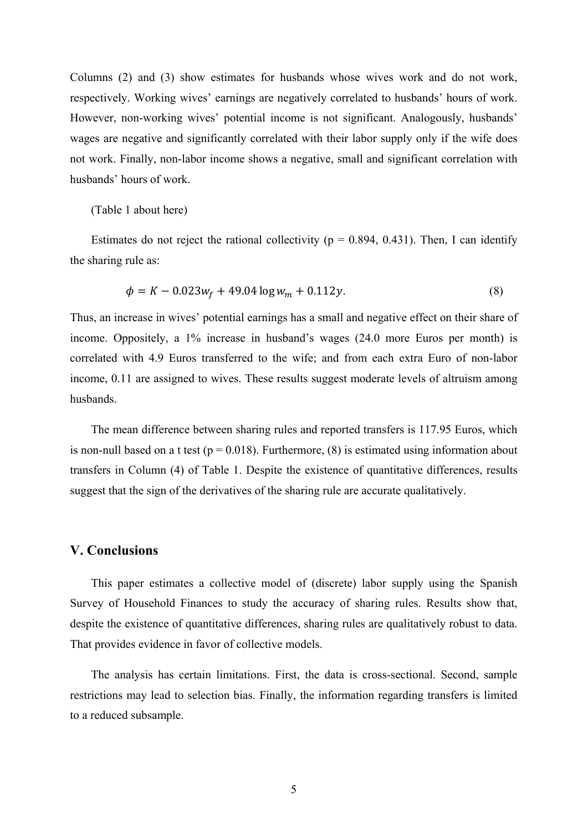Columns (2) and (3) show estimates for husbands whose wives work and do not work, respectively. Working wives' earnings are negatively correlated to husbands' hours of work. However, non-working wives' potential income is not significant. Analogously, husbands' wages are negative and significantly correlated with their labor supply only if the wife does not work. Finally, non-labor income shows a negative, small and significant correlation with husbands' hours of work.

#### (Table 1 about here)

Estimates do not reject the rational collectivity ( $p = 0.894, 0.431$ ). Then, I can identify the sharing rule as:

$$
\phi = K - 0.023w_f + 49.04 \log w_m + 0.112y. \tag{8}
$$

Thus, an increase in wives' potential earnings has a small and negative effect on their share of income. Oppositely, a 1% increase in husband's wages (24.0 more Euros per month) is correlated with 4.9 Euros transferred to the wife; and from each extra Euro of non-labor income, 0.11 are assigned to wives. These results suggest moderate levels of altruism among husbands.

The mean difference between sharing rules and reported transfers is 117.95 Euros, which is non-null based on a t test ( $p = 0.018$ ). Furthermore, (8) is estimated using information about transfers in Column (4) of Table 1. Despite the existence of quantitative differences, results suggest that the sign of the derivatives of the sharing rule are accurate qualitatively.

#### **V. Conclusions**

This paper estimates a collective model of (discrete) labor supply using the Spanish Survey of Household Finances to study the accuracy of sharing rules. Results show that, despite the existence of quantitative differences, sharing rules are qualitatively robust to data. That provides evidence in favor of collective models.

The analysis has certain limitations. First, the data is cross-sectional. Second, sample restrictions may lead to selection bias. Finally, the information regarding transfers is limited to a reduced subsample.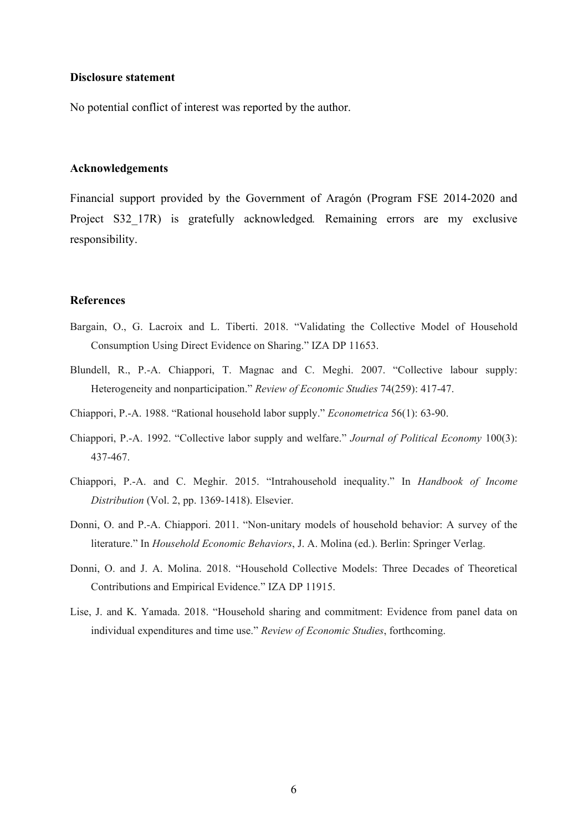#### **Disclosure statement**

No potential conflict of interest was reported by the author.

#### **Acknowledgements**

Financial support provided by the Government of Aragón (Program FSE 2014-2020 and Project S32\_17R) is gratefully acknowledged*.* Remaining errors are my exclusive responsibility.

#### **References**

- Bargain, O., G. Lacroix and L. Tiberti. 2018. "Validating the Collective Model of Household Consumption Using Direct Evidence on Sharing." IZA DP 11653.
- Blundell, R., P.-A. Chiappori, T. Magnac and C. Meghi. 2007. "Collective labour supply: Heterogeneity and nonparticipation." *Review of Economic Studies* 74(259): 417-47.
- Chiappori, P.-A. 1988. "Rational household labor supply." *Econometrica* 56(1): 63-90.
- Chiappori, P.-A. 1992. "Collective labor supply and welfare." *Journal of Political Economy* 100(3): 437-467.
- Chiappori, P.-A. and C. Meghir. 2015. "Intrahousehold inequality." In *Handbook of Income Distribution* (Vol. 2, pp. 1369-1418). Elsevier.
- Donni, O. and P.-A. Chiappori. 2011. "Non-unitary models of household behavior: A survey of the literature." In *Household Economic Behaviors*, J. A. Molina (ed.). Berlin: Springer Verlag.
- Donni, O. and J. A. Molina. 2018. "Household Collective Models: Three Decades of Theoretical Contributions and Empirical Evidence." IZA DP 11915.
- Lise, J. and K. Yamada. 2018. "Household sharing and commitment: Evidence from panel data on individual expenditures and time use." *Review of Economic Studies*, forthcoming.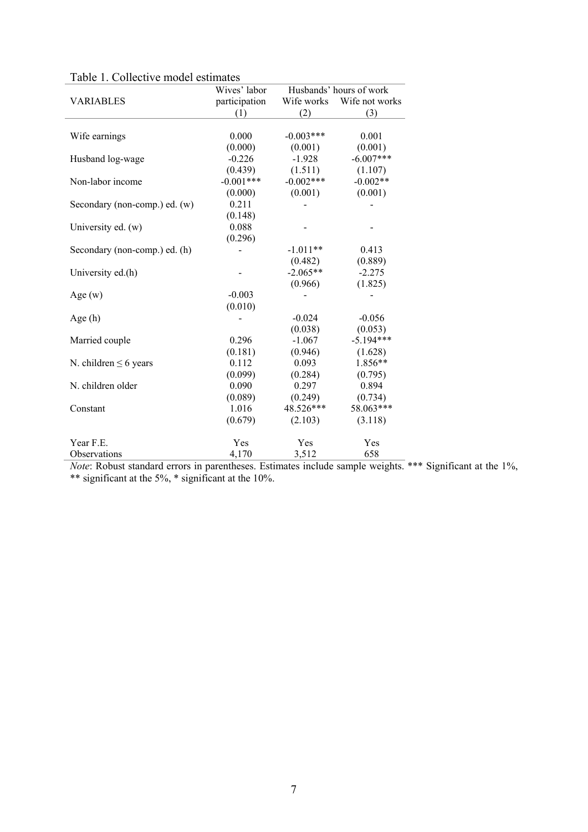|                               | Wives' labor  | Husbands' hours of work |                |  |
|-------------------------------|---------------|-------------------------|----------------|--|
| <b>VARIABLES</b>              | participation | Wife works              | Wife not works |  |
|                               | (1)           | (2)                     | (3)            |  |
|                               |               |                         |                |  |
| Wife earnings                 | 0.000         | $-0.003***$             | 0.001          |  |
|                               | (0.000)       | (0.001)                 | (0.001)        |  |
| Husband log-wage              | $-0.226$      | $-1.928$                | $-6.007***$    |  |
|                               | (0.439)       | (1.511)                 | (1.107)        |  |
| Non-labor income              | $-0.001***$   | $-0.002***$             | $-0.002**$     |  |
|                               | (0.000)       | (0.001)                 | (0.001)        |  |
| Secondary (non-comp.) ed. (w) | 0.211         |                         |                |  |
|                               | (0.148)       |                         |                |  |
| University ed. (w)            | 0.088         |                         |                |  |
|                               | (0.296)       |                         |                |  |
| Secondary (non-comp.) ed. (h) |               | $-1.011**$              | 0.413          |  |
|                               |               | (0.482)                 | (0.889)        |  |
| University ed.(h)             |               | $-2.065**$              | $-2.275$       |  |
|                               |               | (0.966)                 | (1.825)        |  |
| Age $(w)$                     | $-0.003$      |                         |                |  |
|                               | (0.010)       |                         |                |  |
| Age(h)                        |               | $-0.024$                | $-0.056$       |  |
|                               |               | (0.038)                 | (0.053)        |  |
| Married couple                | 0.296         | $-1.067$                | $-5.194***$    |  |
|                               | (0.181)       | (0.946)                 | (1.628)        |  |
| N. children $\leq 6$ years    | 0.112         | 0.093                   | 1.856**        |  |
|                               | (0.099)       | (0.284)                 | (0.795)        |  |
| N. children older             | 0.090         | 0.297                   | 0.894          |  |
|                               | (0.089)       | (0.249)                 | (0.734)        |  |
| Constant                      | 1.016         | 48.526***               | 58.063***      |  |
|                               | (0.679)       | (2.103)                 | (3.118)        |  |
| Year F.E.                     | Yes           | Yes                     | Yes            |  |
| Observations                  | 4,170         | 3,512                   | 658            |  |

|  |  |  |  | Table 1. Collective model estimates |
|--|--|--|--|-------------------------------------|
|--|--|--|--|-------------------------------------|

*Note*: Robust standard errors in parentheses. Estimates include sample weights. \*\*\* Significant at the 1%, \*\* significant at the 5%, \* significant at the 10%.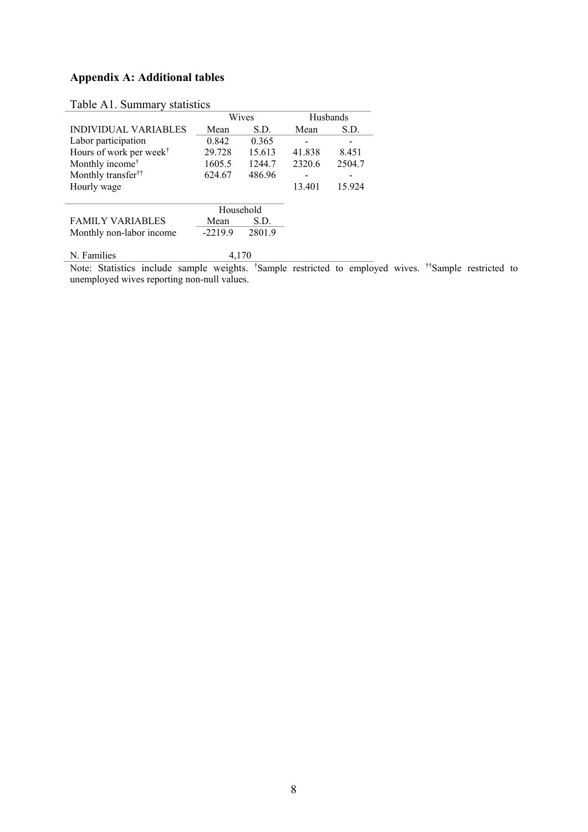# **Appendix A: Additional tables**

|                                     | Wives     |        | Husbands |        |
|-------------------------------------|-----------|--------|----------|--------|
| INDIVIDUAL VARIABLES                | Mean      | S.D.   | Mean     | S.D.   |
| Labor participation                 | 0.842     | 0.365  |          |        |
| Hours of work per week <sup>†</sup> | 29.728    | 15.613 | 41.838   | 8.451  |
| Monthly income <sup>†</sup>         | 1605.5    | 1244.7 | 2320.6   | 2504.7 |
| Monthly transfer <sup>††</sup>      | 624.67    | 486.96 |          |        |
| Hourly wage                         |           |        | 13.401   | 15.924 |
|                                     | Household |        |          |        |
| <b>FAMILY VARIABLES</b>             | Mean      | S.D.   |          |        |
| Monthly non-labor income            | $-2219.9$ | 2801.9 |          |        |
| N. Families                         | 4.170     |        |          |        |

# Table A1. Summary statistics

Note: Statistics include sample weights. † Sample restricted to employed wives. ††Sample restricted to unemployed wives reporting non-null values.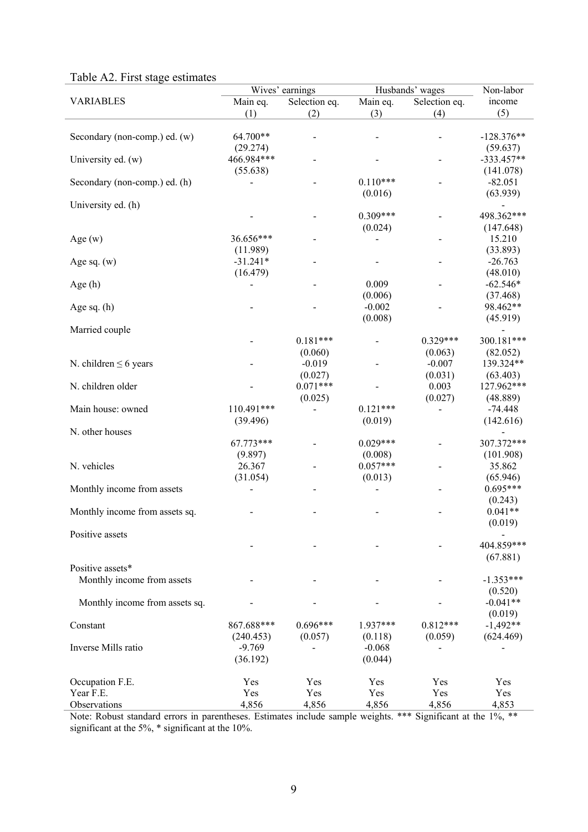|  | Table A2. First stage estimates |  |
|--|---------------------------------|--|
|--|---------------------------------|--|

| Taon $\Delta$ . Thist stage estimates | Wives' earnings |               | Husbands' wages | Non-labor                |              |
|---------------------------------------|-----------------|---------------|-----------------|--------------------------|--------------|
| <b>VARIABLES</b>                      | Main eq.        | Selection eq. | Main eq.        | Selection eq.            | income       |
|                                       | (1)             | (2)           | (3)             | (4)                      | (5)          |
|                                       |                 |               |                 |                          |              |
| Secondary (non-comp.) ed. (w)         | 64.700**        |               |                 |                          | $-128.376**$ |
|                                       | (29.274)        |               |                 |                          | (59.637)     |
| University ed. (w)                    | 466.984***      |               |                 |                          | $-333.457**$ |
|                                       | (55.638)        |               | $0.110***$      |                          | (141.078)    |
| Secondary (non-comp.) ed. (h)         |                 |               |                 |                          | $-82.051$    |
|                                       |                 |               | (0.016)         |                          | (63.939)     |
| University ed. (h)                    |                 |               |                 |                          |              |
|                                       |                 |               | $0.309***$      |                          | 498.362***   |
|                                       |                 |               | (0.024)         |                          | (147.648)    |
| Age $(w)$                             | 36.656***       |               |                 |                          | 15.210       |
|                                       | (11.989)        |               |                 |                          | (33.893)     |
| Age sq. $(w)$                         | $-31.241*$      |               |                 |                          | $-26.763$    |
|                                       | (16.479)        |               |                 |                          | (48.010)     |
| Age (h)                               |                 |               | 0.009           |                          | $-62.546*$   |
|                                       |                 |               | (0.006)         |                          | (37.468)     |
| Age sq. $(h)$                         |                 |               | $-0.002$        |                          | 98.462**     |
|                                       |                 |               | (0.008)         |                          | (45.919)     |
| Married couple                        |                 |               |                 |                          |              |
|                                       |                 | $0.181***$    |                 | $0.329***$               | 300.181***   |
|                                       |                 | (0.060)       |                 | (0.063)                  | (82.052)     |
| N. children $\leq 6$ years            |                 | $-0.019$      |                 | $-0.007$                 | 139.324**    |
|                                       |                 |               |                 |                          |              |
|                                       |                 | (0.027)       |                 | (0.031)                  | (63.403)     |
| N. children older                     |                 | $0.071***$    |                 | 0.003                    | 127.962***   |
|                                       |                 | (0.025)       |                 | (0.027)                  | (48.889)     |
| Main house: owned                     | 110.491***      |               | $0.121***$      | $\overline{\phantom{0}}$ | $-74.448$    |
|                                       | (39.496)        |               | (0.019)         |                          | (142.616)    |
| N. other houses                       |                 |               |                 |                          |              |
|                                       | 67.773***       |               | $0.029***$      |                          | 307.372***   |
|                                       | (9.897)         |               | (0.008)         |                          | (101.908)    |
| N. vehicles                           | 26.367          |               | $0.057***$      |                          | 35.862       |
|                                       | (31.054)        |               | (0.013)         |                          | (65.946)     |
| Monthly income from assets            |                 |               |                 |                          | $0.695***$   |
|                                       |                 |               |                 |                          | (0.243)      |
| Monthly income from assets sq.        |                 |               |                 |                          | $0.041**$    |
|                                       |                 |               |                 |                          | (0.019)      |
| Positive assets                       |                 |               |                 |                          |              |
|                                       |                 |               |                 |                          | 404.859***   |
|                                       |                 |               |                 |                          | (67.881)     |
| Positive assets*                      |                 |               |                 |                          |              |
|                                       |                 |               |                 |                          |              |
| Monthly income from assets            |                 |               |                 |                          | $-1.353***$  |
|                                       |                 |               |                 |                          | (0.520)      |
| Monthly income from assets sq.        |                 |               |                 |                          | $-0.041**$   |
|                                       |                 |               |                 |                          | (0.019)      |
| Constant                              | 867.688***      | $0.696***$    | 1.937***        | $0.812***$               | $-1,492**$   |
|                                       | (240.453)       | (0.057)       | (0.118)         | (0.059)                  | (624.469)    |
| Inverse Mills ratio                   | $-9.769$        |               | $-0.068$        |                          |              |
|                                       | (36.192)        |               | (0.044)         |                          |              |
|                                       |                 |               |                 |                          |              |
| Occupation F.E.                       | Yes             | Yes           | Yes             | Yes                      | Yes          |
| Year F.E.                             | Yes             | Yes           | Yes             | Yes                      | Yes          |
| Observations                          | 4,856           | 4,856         | 4,856           | 4,856                    | 4,853        |

Note: Robust standard errors in parentheses. Estimates include sample weights. \*\*\* Significant at the 1%, \*\* significant at the 5%, \* significant at the 10%.